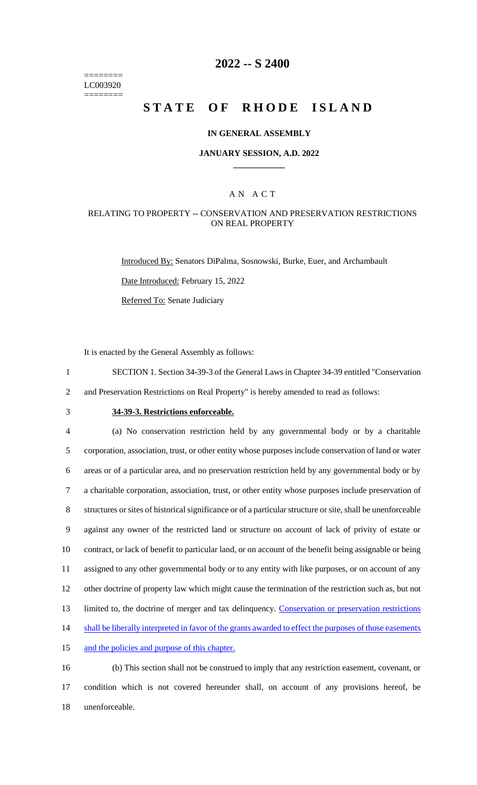======== LC003920 ========

# **2022 -- S 2400**

# **STATE OF RHODE ISLAND**

#### **IN GENERAL ASSEMBLY**

#### **JANUARY SESSION, A.D. 2022 \_\_\_\_\_\_\_\_\_\_\_\_**

### A N A C T

#### RELATING TO PROPERTY -- CONSERVATION AND PRESERVATION RESTRICTIONS ON REAL PROPERTY

Introduced By: Senators DiPalma, Sosnowski, Burke, Euer, and Archambault

Date Introduced: February 15, 2022

Referred To: Senate Judiciary

It is enacted by the General Assembly as follows:

- 1 SECTION 1. Section 34-39-3 of the General Laws in Chapter 34-39 entitled "Conservation
- 2 and Preservation Restrictions on Real Property" is hereby amended to read as follows:
- 

# 3 **34-39-3. Restrictions enforceable.**

 (a) No conservation restriction held by any governmental body or by a charitable corporation, association, trust, or other entity whose purposes include conservation of land or water areas or of a particular area, and no preservation restriction held by any governmental body or by a charitable corporation, association, trust, or other entity whose purposes include preservation of structures or sites of historical significance or of a particular structure or site, shall be unenforceable against any owner of the restricted land or structure on account of lack of privity of estate or contract, or lack of benefit to particular land, or on account of the benefit being assignable or being assigned to any other governmental body or to any entity with like purposes, or on account of any other doctrine of property law which might cause the termination of the restriction such as, but not 13 limited to, the doctrine of merger and tax delinquency. Conservation or preservation restrictions 14 shall be liberally interpreted in favor of the grants awarded to effect the purposes of those easements and the policies and purpose of this chapter.

16 (b) This section shall not be construed to imply that any restriction easement, covenant, or 17 condition which is not covered hereunder shall, on account of any provisions hereof, be 18 unenforceable.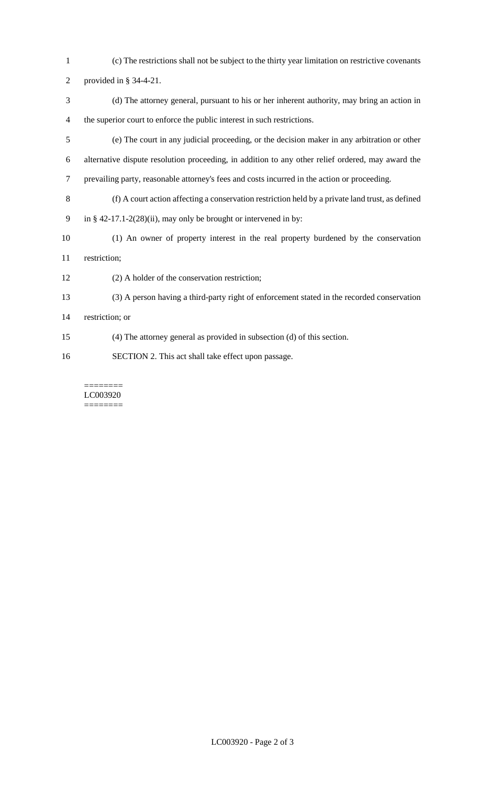- (c) The restrictions shall not be subject to the thirty year limitation on restrictive covenants
- provided in § 34-4-21.
- (d) The attorney general, pursuant to his or her inherent authority, may bring an action in the superior court to enforce the public interest in such restrictions.
- (e) The court in any judicial proceeding, or the decision maker in any arbitration or other alternative dispute resolution proceeding, in addition to any other relief ordered, may award the prevailing party, reasonable attorney's fees and costs incurred in the action or proceeding.
- (f) A court action affecting a conservation restriction held by a private land trust, as defined
- in § 42-17.1-2(28)(ii), may only be brought or intervened in by:
- (1) An owner of property interest in the real property burdened by the conservation restriction;
- (2) A holder of the conservation restriction;
- (3) A person having a third-party right of enforcement stated in the recorded conservation
- restriction; or
- (4) The attorney general as provided in subsection (d) of this section.
- SECTION 2. This act shall take effect upon passage.

======== LC003920 ========